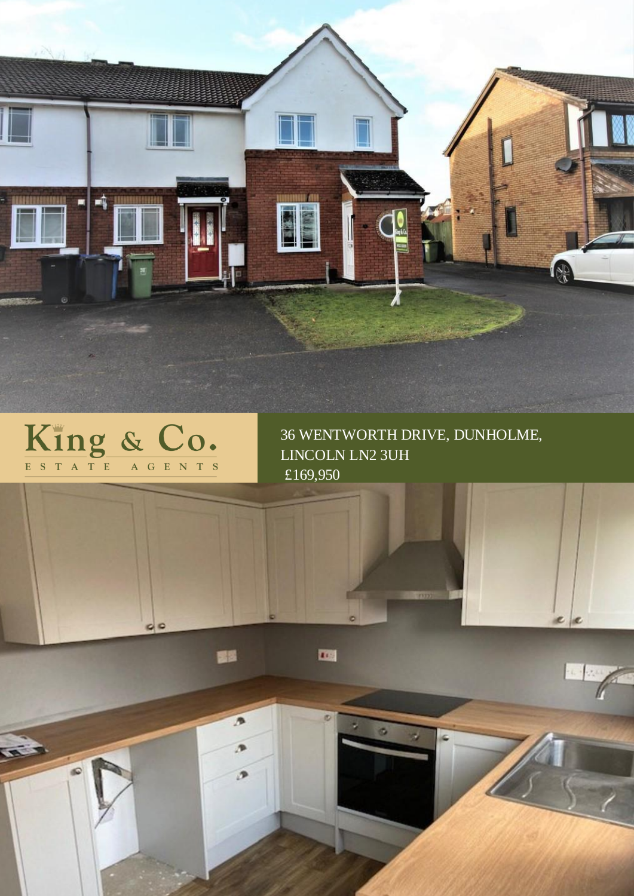

四

# King & Co.

 $00$ 

dG

國國

 $\overline{p}$ 

D

 $\overline{D}$ 

36 WENTWORTH DRIVE, DUNHOLME, LINCOLN LN2 3UH £169,950

 $e$   $e$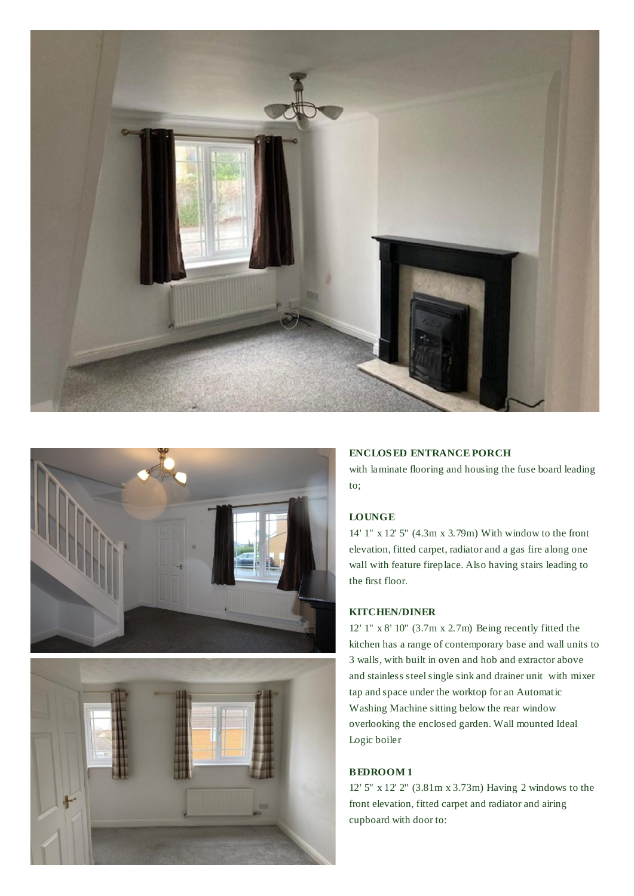





# **ENCLOS ED ENTRANCE PORCH**

with laminate flooring and housing the fuse board leading to;

## **LOUNGE**

14' 1" x 12' 5" (4.3m x 3.79m) With window to the front elevation, fitted carpet, radiator and a gas fire along one wall with feature fireplace. Also having stairs leading to the first floor.

# **KITCHEN/DINER**

12' 1" x 8' 10" (3.7m x 2.7m) Being recently fitted the kitchen has a range of contemporary base and wall units to 3 walls, with built in oven and hob and extractor above and stainless steel single sink and drainer unit with mixer tap and space under the worktop for an Automatic Washing Machine sitting below the rear window overlooking the enclosed garden. Wall mounted Ideal Logic boiler

# **BEDROOM 1**

12' 5" x 12' 2" (3.81m x 3.73m) Having 2 windows to the front elevation, fitted carpet and radiator and airing cupboard with door to: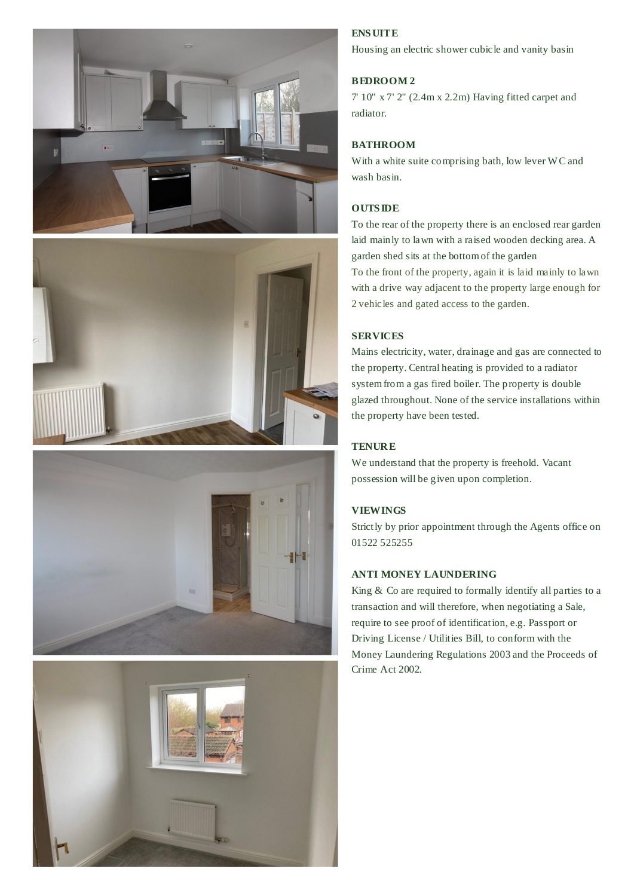







# **ENS UITE**

Housing an electric shower cubicle and vanity basin

## **BEDROOM 2**

7' 10" x 7' 2" (2.4m x 2.2m) Having fitted carpet and radiator.

## **BATHROOM**

With a white suite comprising bath, low lever W C and wash basin.

## **OUTS IDE**

To the rear of the property there is an enclosed rear garden laid mainly to lawn with a raised wooden decking area. A garden shed sits at the bottom of the garden

To the front of the property, again it is laid mainly to lawn with a drive way adjacent to the property large enough for 2 vehicles and gated access to the garden.

#### **SERVICES**

Mains electricity, water, drainage and gas are connected to the property. Central heating is provided to a radiator system from a gas fired boiler. The property is double glazed throughout. None of the service installations within the property have been tested.

## **TENURE**

We understand that the property is freehold. Vacant possession will be given upon completion.

## **VIEWINGS**

Strictly by prior appointment through the Agents office on 01522 525255

## **ANTI MONEY LAUNDERING**

King & Co are required to formally identify all parties to a transaction and will therefore, when negotiating a Sale, require to see proof of identification, e.g. Passport or Driving License / Utilities Bill, to conform with the Money Laundering Regulations 2003 and the Proceeds of Crime Act 2002.